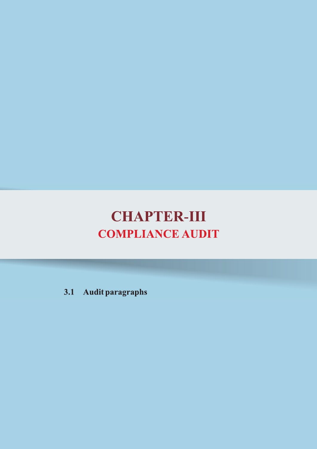# **CHAPTER-III COMPLIANCE AUDIT**

3.1 Audit paragraphs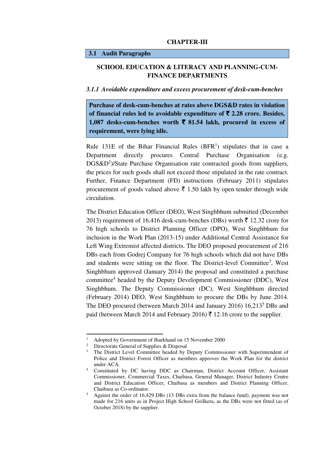#### **CHAPTER-III**

## **3.1 Audit Paragraphs**

# **SCHOOL EDUCATION & LITERACY AND PLANNING-CUM-FINANCE DEPARTMENTS**

#### *3.1.1 Avoidable expenditure and excess procurement of desk-cum-benches*

**Purchase of desk-cum-benches at rates above DGS&D rates in violation**  of financial rules led to avoidable expenditure of  $\bar{\tau}$  2.28 crore. Besides, 1,087 desks-cum-benches worth  $\bar{\tau}$  81.54 lakh, procured in excess of **requirement, were lying idle.** 

Rule 131E of the Bihar Financial Rules  $(BFR<sup>1</sup>)$  stipulates that in case a Department directly procures Central Purchase Organisation (e.g. DGS&D<sup>2</sup>)/State Purchase Organisation rate contracted goods from suppliers, the prices for such goods shall not exceed those stipulated in the rate contract. Further, Finance Department (FD) instructions (February 2011) stipulates procurement of goods valued above  $\bar{\tau}$  1.50 lakh by open tender through wide circulation.

The District Education Officer (DEO), West Singhbhum submitted (December 2013) requirement of 16,416 desk-cum-benches (DBs) worth  $\bar{\tau}$  12.32 crore for 76 high schools to District Planning Officer (DPO), West Singhbhum for inclusion in the Work Plan (2013-15) under Additional Central Assistance for Left Wing Extremist affected districts. The DEO proposed procurement of 216 DBs each from Godrej Company for 76 high schools which did not have DBs and students were sitting on the floor. The District-level Committee<sup>3</sup>, West Singhbhum approved (January 2014) the proposal and constituted a purchase committee<sup>4</sup> headed by the Deputy Development Commissioner (DDC), West Singhbhum. The Deputy Commissioner (DC), West Singhbhum directed (February 2014) DEO, West Singhbhum to procure the DBs by June 2014. The DEO procured (between March 2014 and January 2016) 16,213<sup>5</sup> DBs and paid (between March 2014 and February 2016)  $\bar{\tau}$  12.16 crore to the supplier.

<sup>1</sup> Adopted by Government of Jharkhand on 15 November 2000

<sup>&</sup>lt;sup>2</sup> Directorate General of Supplies & Disposal

<sup>3</sup> The District Level Committee headed by Deputy Commissioner with Superintendent of Police and District Forest Officer as members approves the Work Plan for the district under ACA.

<sup>&</sup>lt;sup>4</sup> Constituted by DC having DDC as Chairman, District Account Officer, Assistant Commissioner, Commercial Taxes, Chaibasa, General Manager, District Industry Centre and District Education Officer, Chaibasa as members and District Planning Officer, Chaibasa as Co-ordinator.

<sup>5</sup> Against the order of 16,429 DBs (13 DBs extra from the balance fund), payment was not made for 216 units as in Project High School Goilkera, as the DBs were not fitted (as of October 2018) by the supplier.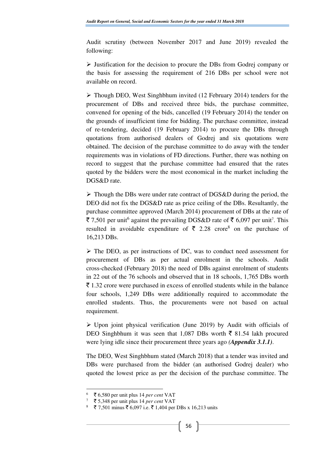Audit scrutiny (between November 2017 and June 2019) revealed the following:

 $\triangleright$  Justification for the decision to procure the DBs from Godrej company or the basis for assessing the requirement of 216 DBs per school were not available on record.

 $\triangleright$  Though DEO, West Singhbhum invited (12 February 2014) tenders for the procurement of DBs and received three bids, the purchase committee, convened for opening of the bids, cancelled (19 February 2014) the tender on the grounds of insufficient time for bidding. The purchase committee, instead of re-tendering, decided (19 February 2014) to procure the DBs through quotations from authorised dealers of Godrej and six quotations were obtained. The decision of the purchase committee to do away with the tender requirements was in violations of FD directions. Further, there was nothing on record to suggest that the purchase committee had ensured that the rates quoted by the bidders were the most economical in the market including the DGS&D rate.

 $\triangleright$  Though the DBs were under rate contract of DGS&D during the period, the DEO did not fix the DGS&D rate as price ceiling of the DBs. Resultantly, the purchase committee approved (March 2014) procurement of DBs at the rate of ₹ 7,501 per unit<sup>6</sup> against the prevailing DGS&D rate of ₹ 6,097 per unit<sup>7</sup>. This resulted in avoidable expenditure of  $\bar{\tau}$  2.28 crore<sup>8</sup> on the purchase of 16,213 DBs.

 $\triangleright$  The DEO, as per instructions of DC, was to conduct need assessment for procurement of DBs as per actual enrolment in the schools. Audit cross-checked (February 2018) the need of DBs against enrolment of students in 22 out of the 76 schools and observed that in 18 schools, 1,765 DBs worth  $\bar{\tau}$  1.32 crore were purchased in excess of enrolled students while in the balance four schools, 1,249 DBs were additionally required to accommodate the enrolled students. Thus, the procurements were not based on actual requirement.

 $\triangleright$  Upon joint physical verification (June 2019) by Audit with officials of DEO Singhbhum it was seen that 1,087 DBs worth  $\bar{\xi}$  81.54 lakh procured were lying idle since their procurement three years ago *(Appendix 3.1.1)*.

The DEO, West Singhbhum stated (March 2018) that a tender was invited and DBs were purchased from the bidder (an authorised Godrej dealer) who quoted the lowest price as per the decision of the purchase committee. The

 $\overline{a}$ 

 $\frac{6}{7}$   $\frac{3}{7}$  6,580 per unit plus 14 *per cent* VAT

<sup>7</sup> ` 5,348 per unit plus 14 *per cent* VAT

<sup>₹ 7,501</sup> minus ₹ 6,097 i.e. ₹ 1,404 per DBs x 16,213 units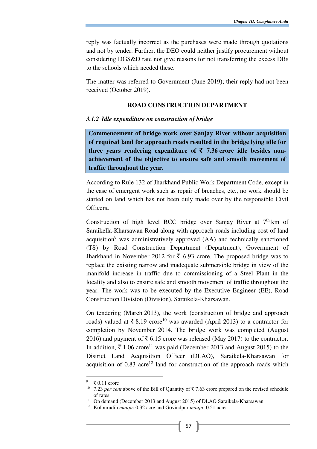reply was factually incorrect as the purchases were made through quotations and not by tender. Further, the DEO could neither justify procurement without considering DGS&D rate nor give reasons for not transferring the excess DBs to the schools which needed these.

The matter was referred to Government (June 2019); their reply had not been received (October 2019).

#### **ROAD CONSTRUCTION DEPARTMENT**

#### *3.1.2 Idle expenditure on construction of bridge*

**Commencement of bridge work over Sanjay River without acquisition of required land for approach roads resulted in the bridge lying idle for**  three vears rendering expenditure of  $\bar{\tau}$  7.36 crore idle besides non**achievement of the objective to ensure safe and smooth movement of traffic throughout the year.**

According to Rule 132 of Jharkhand Public Work Department Code, except in the case of emergent work such as repair of breaches, etc., no work should be started on land which has not been duly made over by the responsible Civil Officers**.**

Construction of high level RCC bridge over Sanjay River at  $7<sup>th</sup>$  km of Saraikella-Kharsawan Road along with approach roads including cost of land acquisition<sup>9</sup> was administratively approved (AA) and technically sanctioned (TS) by Road Construction Department (Department), Government of Jharkhand in November 2012 for  $\bar{\tau}$  6.93 crore. The proposed bridge was to replace the existing narrow and inadequate submersible bridge in view of the manifold increase in traffic due to commissioning of a Steel Plant in the locality and also to ensure safe and smooth movement of traffic throughout the year. The work was to be executed by the Executive Engineer (EE), Road Construction Division (Division), Saraikela-Kharsawan.

On tendering (March 2013), the work (construction of bridge and approach roads) valued at  $\bar{\tau}$  8.19 crore<sup>10</sup> was awarded (April 2013) to a contractor for completion by November 2014. The bridge work was completed (August 2016) and payment of  $\bar{\tau}$  6.15 crore was released (May 2017) to the contractor. In addition,  $\bar{\mathfrak{c}}$  1.06 crore<sup>11</sup> was paid (December 2013 and August 2015) to the District Land Acquisition Officer (DLAO), Saraikela-Kharsawan for acquisition of  $0.83$  acre<sup>12</sup> land for construction of the approach roads which

 $\bar{z}$  0.11 crore

<sup>&</sup>lt;sup>10</sup> 7.23 *per cent* above of the Bill of Quantity of  $\overline{5}$  7.63 crore prepared on the revised schedule of rates

<sup>&</sup>lt;sup>11</sup> On demand (December 2013 and August 2015) of DLAO Saraikela-Kharsawan

<sup>12</sup> Kolburudih *mauja*: 0.32 acre and Govindpur *mauja*: 0.51 acre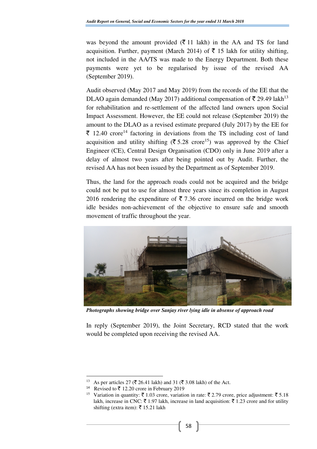was beyond the amount provided  $(\bar{\mathbf{\bar{z}}} 11)$  lakh) in the AA and TS for land acquisition. Further, payment (March 2014) of  $\bar{\tau}$  15 lakh for utility shifting, not included in the AA/TS was made to the Energy Department. Both these payments were yet to be regularised by issue of the revised AA (September 2019).

Audit observed (May 2017 and May 2019) from the records of the EE that the DLAO again demanded (May 2017) additional compensation of  $\bar{\tau}$  29.49 lakh<sup>13</sup> for rehabilitation and re-settlement of the affected land owners upon Social Impact Assessment. However, the EE could not release (September 2019) the amount to the DLAO as a revised estimate prepared (July 2017) by the EE for  $\bar{\tau}$  12.40 crore<sup>14</sup> factoring in deviations from the TS including cost of land acquisition and utility shifting ( $\bar{\tau}$  5.28 crore<sup>15</sup>) was approved by the Chief Engineer (CE), Central Design Organisation (CDO) only in June 2019 after a delay of almost two years after being pointed out by Audit. Further, the revised AA has not been issued by the Department as of September 2019.

Thus, the land for the approach roads could not be acquired and the bridge could not be put to use for almost three years since its completion in August 2016 rendering the expenditure of  $\bar{\tau}$  7.36 crore incurred on the bridge work idle besides non-achievement of the objective to ensure safe and smooth movement of traffic throughout the year.



*Photographs showing bridge over Sanjay river lying idle in absense of approach road* 

In reply (September 2019), the Joint Secretary, RCD stated that the work would be completed upon receiving the revised AA.

As per articles 27 ( $\overline{\xi}$  26.41 lakh) and 31 ( $\overline{\xi}$  3.08 lakh) of the Act.

<sup>&</sup>lt;sup>14</sup> Revised to  $\bar{z}$  12.20 crore in February 2019

<sup>&</sup>lt;sup>15</sup> Variation in quantity:  $\bar{\zeta}$  1.03 crore, variation in rate:  $\bar{\zeta}$  2.79 crore, price adjustment:  $\bar{\zeta}$  5.18 lakh, increase in CNC:  $\bar{\zeta}$  1.97 lakh, increase in land acquisition:  $\bar{\zeta}$  1.23 crore and for utility shifting (extra item): ₹ 15.21 lakh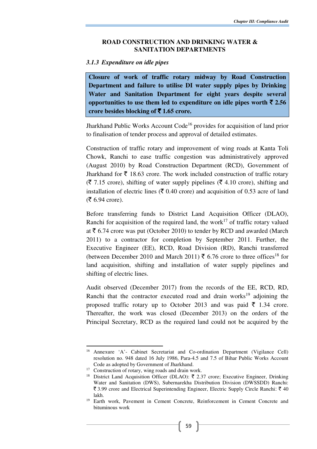#### **ROAD CONSTRUCTION AND DRINKING WATER & SANITATION DEPARTMENTS**

## *3.1.3 Expenditure on idle pipes*

**Closure of work of traffic rotary midway by Road Construction Department and failure to utilise DI water supply pipes by Drinking Water and Sanitation Department for eight years despite several opportunities to use them led to expenditure on idle pipes worth**  $\bar{\tau}$  **2.56 crore besides blocking of** ` **1.65 crore.**

Jharkhand Public Works Account Code<sup>16</sup> provides for acquisition of land prior to finalisation of tender process and approval of detailed estimates.

Construction of traffic rotary and improvement of wing roads at Kanta Toli Chowk, Ranchi to ease traffic congestion was administratively approved (August 2010) by Road Construction Department (RCD), Government of Jharkhand for  $\bar{\tau}$  18.63 crore. The work included construction of traffic rotary  $(\bar{\mathbf{\zeta}}$  7.15 crore), shifting of water supply pipelines ( $\bar{\mathbf{\zeta}}$  4.10 crore), shifting and installation of electric lines ( $\bar{\tau}$  0.40 crore) and acquisition of 0.53 acre of land  $($ ₹ 6.94 crore).

Before transferring funds to District Land Acquisition Officer (DLAO), Ranchi for acquisition of the required land, the work<sup>17</sup> of traffic rotary valued at  $\bar{\tau}$  6.74 crore was put (October 2010) to tender by RCD and awarded (March 2011) to a contractor for completion by September 2011. Further, the Executive Engineer (EE), RCD, Road Division (RD), Ranchi transferred (between December 2010 and March 2011)  $\bar{\xi}$  6.76 crore to three offices<sup>18</sup> for land acquisition, shifting and installation of water supply pipelines and shifting of electric lines.

Audit observed (December 2017) from the records of the EE, RCD, RD, Ranchi that the contractor executed road and drain works<sup>19</sup> adjoining the proposed traffic rotary up to October 2013 and was paid  $\bar{\tau}$  1.34 crore. Thereafter, the work was closed (December 2013) on the orders of the Principal Secretary, RCD as the required land could not be acquired by the

<sup>16</sup> Annexure 'A'- Cabinet Secretariat and Co-ordination Department (Vigilance Cell) resolution no. 948 dated 16 July 1986, Para-4.5 and 7.5 of Bihar Public Works Account Code as adopted by Government of Jharkhand.

<sup>&</sup>lt;sup>17</sup> Construction of rotary, wing roads and drain work.

<sup>&</sup>lt;sup>18</sup> District Land Acquisition Officer (DLAO):  $\bar{\tau}$  2.37 crore; Executive Engineer, Drinking Water and Sanitation (DWS), Subernarekha Distribution Division (DWSSDD) Ranchi:  $\bar{\xi}$  3.99 crore and Electrical Superintending Engineer, Electric Supply Circle Ranchi:  $\bar{\xi}$  40 lakh.

<sup>19</sup> Earth work, Pavement in Cement Concrete, Reinforcement in Cement Concrete and bituminous work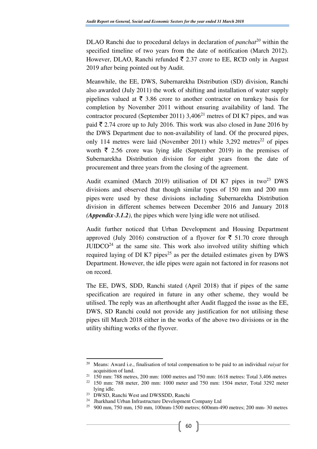DLAO Ranchi due to procedural delays in declaration of *panchat<sup>20</sup>* within the specified timeline of two years from the date of notification (March 2012). However, DLAO, Ranchi refunded  $\bar{\tau}$  2.37 crore to EE, RCD only in August 2019 after being pointed out by Audit.

Meanwhile, the EE, DWS, Subernarekha Distribution (SD) division, Ranchi also awarded (July 2011) the work of shifting and installation of water supply pipelines valued at  $\bar{\tau}$  3.86 crore to another contractor on turnkey basis for completion by November 2011 without ensuring availability of land. The contractor procured (September 2011)  $3,406^{21}$  metres of DI K7 pipes, and was paid  $\bar{\xi}$  2.74 crore up to July 2016. This work was also closed in June 2016 by the DWS Department due to non-availability of land. Of the procured pipes, only 114 metres were laid (November 2011) while  $3,292$  metres<sup>22</sup> of pipes worth  $\bar{\xi}$  2.56 crore was lying idle (September 2019) in the premises of Subernarekha Distribution division for eight years from the date of procurement and three years from the closing of the agreement.

Audit examined (March 2019) utilisation of DI K7 pipes in two<sup>23</sup> DWS divisions and observed that though similar types of 150 mm and 200 mm pipes were used by these divisions including Subernarekha Distribution division in different schemes between December 2016 and January 2018 *(Appendix-3.1.2)*, the pipes which were lying idle were not utilised.

Audit further noticed that Urban Development and Housing Department approved (July 2016) construction of a flyover for  $\bar{\tau}$  51.70 crore through  $JUIDCO<sup>24</sup>$  at the same site. This work also involved utility shifting which required laying of DI K7 pipes<sup>25</sup> as per the detailed estimates given by DWS Department. However, the idle pipes were again not factored in for reasons not on record.

The EE, DWS, SDD, Ranchi stated (April 2018) that if pipes of the same specification are required in future in any other scheme, they would be utilised. The reply was an afterthought after Audit flagged the issue as the EE, DWS, SD Ranchi could not provide any justification for not utilising these pipes till March 2018 either in the works of the above two divisions or in the utility shifting works of the flyover.

<sup>20</sup> Means: Award i.e., finalisation of total compensation to be paid to an individual *raiyat* for acquisition of land.

<sup>21</sup> 150 mm: 788 metres, 200 mm: 1000 metres and 750 mm: 1618 metres: Total 3,406 metres

<sup>22</sup> 150 mm: 788 meter, 200 mm: 1000 meter and 750 mm: 1504 meter, Total 3292 meter lying idle.

<sup>23</sup> DWSD, Ranchi West and DWSSDD, Ranchi

<sup>24</sup> Jharkhand Urban Infrastructure Development Company Ltd

<sup>25</sup> 900 mm, 750 mm, 150 mm, 100mm-1500 metres; 600mm-490 metres; 200 mm- 30 metres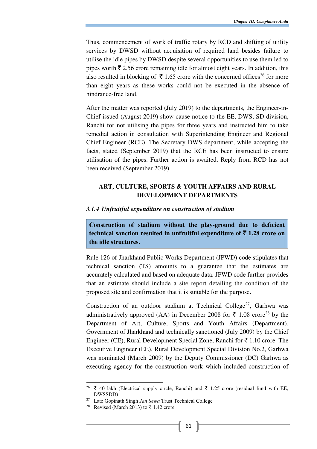Thus, commencement of work of traffic rotary by RCD and shifting of utility services by DWSD without acquisition of required land besides failure to utilise the idle pipes by DWSD despite several opportunities to use them led to pipes worth  $\bar{\tau}$  2.56 crore remaining idle for almost eight years. In addition, this also resulted in blocking of  $\bar{\tau}$  1.65 crore with the concerned offices<sup>26</sup> for more than eight years as these works could not be executed in the absence of hindrance-free land.

After the matter was reported (July 2019) to the departments, the Engineer-in-Chief issued (August 2019) show cause notice to the EE, DWS, SD division, Ranchi for not utilising the pipes for three years and instructed him to take remedial action in consultation with Superintending Engineer and Regional Chief Engineer (RCE). The Secretary DWS department, while accepting the facts, stated (September 2019) that the RCE has been instructed to ensure utilisation of the pipes. Further action is awaited. Reply from RCD has not been received (September 2019).

# **ART, CULTURE, SPORTS & YOUTH AFFAIRS AND RURAL DEVELOPMENT DEPARTMENTS**

### *3.1.4 Unfruitful expenditure on construction of stadium*

**Construction of stadium without the play-ground due to deficient technical sanction resulted in unfruitful expenditure of**  $\bar{\tau}$  **1.28 crore on the idle structures.** 

Rule 126 of Jharkhand Public Works Department (JPWD) code stipulates that technical sanction (TS) amounts to a guarantee that the estimates are accurately calculated and based on adequate data. JPWD code further provides that an estimate should include a site report detailing the condition of the proposed site and confirmation that it is suitable for the purpose**.**

Construction of an outdoor stadium at Technical College<sup>27</sup>, Garhwa was administratively approved (AA) in December 2008 for  $\bar{\tau}$  1.08 crore<sup>28</sup> by the Department of Art, Culture, Sports and Youth Affairs (Department), Government of Jharkhand and technically sanctioned (July 2009) by the Chief Engineer (CE), Rural Development Special Zone, Ranchi for  $\bar{\tau}$  1.10 crore. The Executive Engineer (EE), Rural Development Special Division No.2, Garhwa was nominated (March 2009) by the Deputy Commissioner (DC) Garhwa as executing agency for the construction work which included construction of

 $\overline{a}$ 

 $^{26}$  ₹ 40 lakh (Electrical supply circle, Ranchi) and ₹ 1.25 crore (residual fund with EE, DWSSDD)

<sup>27</sup> Late Gopinath Singh *Jan Sewa* Trust Technical College

Revised (March 2013) to  $\bar{\xi}$  1.42 crore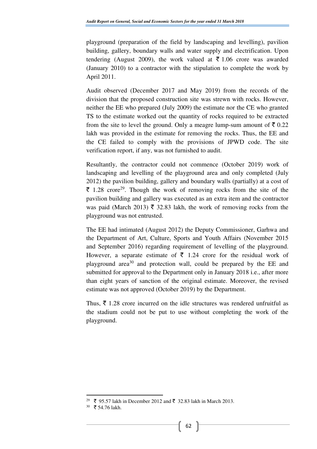playground (preparation of the field by landscaping and levelling), pavilion building, gallery, boundary walls and water supply and electrification. Upon tendering (August 2009), the work valued at  $\bar{\tau}$  1.06 crore was awarded (January 2010) to a contractor with the stipulation to complete the work by April 2011.

Audit observed (December 2017 and May 2019) from the records of the division that the proposed construction site was strewn with rocks. However, neither the EE who prepared (July 2009) the estimate nor the CE who granted TS to the estimate worked out the quantity of rocks required to be extracted from the site to level the ground. Only a meagre lump-sum amount of  $\bar{\tau}$  0.22 lakh was provided in the estimate for removing the rocks. Thus, the EE and the CE failed to comply with the provisions of JPWD code. The site verification report, if any, was not furnished to audit.

Resultantly, the contractor could not commence (October 2019) work of landscaping and levelling of the playground area and only completed (July 2012) the pavilion building, gallery and boundary walls (partially) at a cost of  $\bar{\tau}$  1.28 crore<sup>29</sup>. Though the work of removing rocks from the site of the pavilion building and gallery was executed as an extra item and the contractor was paid (March 2013)  $\bar{\tau}$  32.83 lakh, the work of removing rocks from the playground was not entrusted.

The EE had intimated (August 2012) the Deputy Commissioner, Garhwa and the Department of Art, Culture, Sports and Youth Affairs (November 2015 and September 2016) regarding requirement of levelling of the playground. However, a separate estimate of  $\bar{\tau}$  1.24 crore for the residual work of playground area<sup>30</sup> and protection wall, could be prepared by the EE and submitted for approval to the Department only in January 2018 i.e., after more than eight years of sanction of the original estimate. Moreover, the revised estimate was not approved (October 2019) by the Department.

Thus,  $\bar{\xi}$  1.28 crore incurred on the idle structures was rendered unfruitful as the stadium could not be put to use without completing the work of the playground.

 $\overline{a}$ 

<sup>&</sup>lt;sup>29</sup> ₹ 95.57 lakh in December 2012 and ₹ 32.83 lakh in March 2013.

 $30 \text{ }$  ₹ 54.76 lakh.